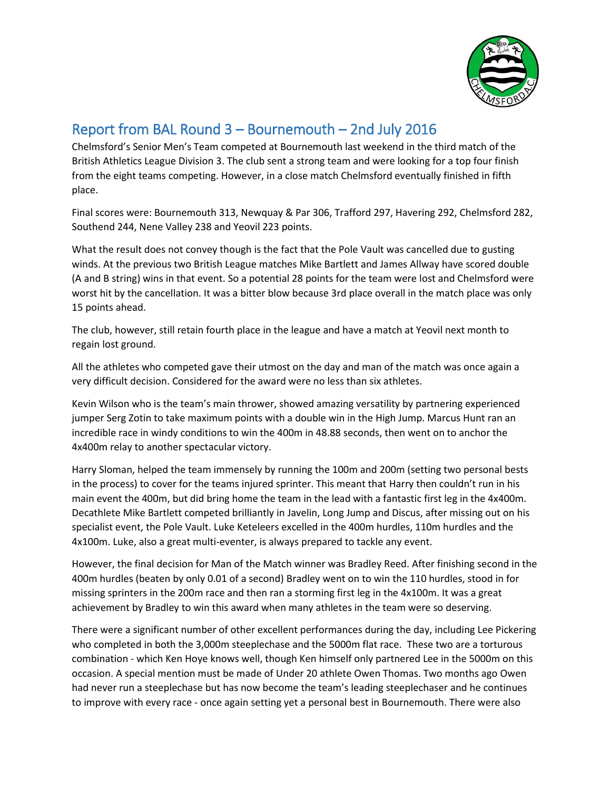

## Report from BAL Round 3 – Bournemouth – 2nd July 2016

Chelmsford's Senior Men's Team competed at Bournemouth last weekend in the third match of the British Athletics League Division 3. The club sent a strong team and were looking for a top four finish from the eight teams competing. However, in a close match Chelmsford eventually finished in fifth place.

Final scores were: Bournemouth 313, Newquay & Par 306, Trafford 297, Havering 292, Chelmsford 282, Southend 244, Nene Valley 238 and Yeovil 223 points.

What the result does not convey though is the fact that the Pole Vault was cancelled due to gusting winds. At the previous two British League matches Mike Bartlett and James Allway have scored double (A and B string) wins in that event. So a potential 28 points for the team were lost and Chelmsford were worst hit by the cancellation. It was a bitter blow because 3rd place overall in the match place was only 15 points ahead.

The club, however, still retain fourth place in the league and have a match at Yeovil next month to regain lost ground.

All the athletes who competed gave their utmost on the day and man of the match was once again a very difficult decision. Considered for the award were no less than six athletes.

Kevin Wilson who is the team's main thrower, showed amazing versatility by partnering experienced jumper Serg Zotin to take maximum points with a double win in the High Jump. Marcus Hunt ran an incredible race in windy conditions to win the 400m in 48.88 seconds, then went on to anchor the 4x400m relay to another spectacular victory.

Harry Sloman, helped the team immensely by running the 100m and 200m (setting two personal bests in the process) to cover for the teams injured sprinter. This meant that Harry then couldn't run in his main event the 400m, but did bring home the team in the lead with a fantastic first leg in the 4x400m. Decathlete Mike Bartlett competed brilliantly in Javelin, Long Jump and Discus, after missing out on his specialist event, the Pole Vault. Luke Keteleers excelled in the 400m hurdles, 110m hurdles and the 4x100m. Luke, also a great multi-eventer, is always prepared to tackle any event.

However, the final decision for Man of the Match winner was Bradley Reed. After finishing second in the 400m hurdles (beaten by only 0.01 of a second) Bradley went on to win the 110 hurdles, stood in for missing sprinters in the 200m race and then ran a storming first leg in the 4x100m. It was a great achievement by Bradley to win this award when many athletes in the team were so deserving.

There were a significant number of other excellent performances during the day, including Lee Pickering who completed in both the 3,000m steeplechase and the 5000m flat race. These two are a torturous combination - which Ken Hoye knows well, though Ken himself only partnered Lee in the 5000m on this occasion. A special mention must be made of Under 20 athlete Owen Thomas. Two months ago Owen had never run a steeplechase but has now become the team's leading steeplechaser and he continues to improve with every race - once again setting yet a personal best in Bournemouth. There were also